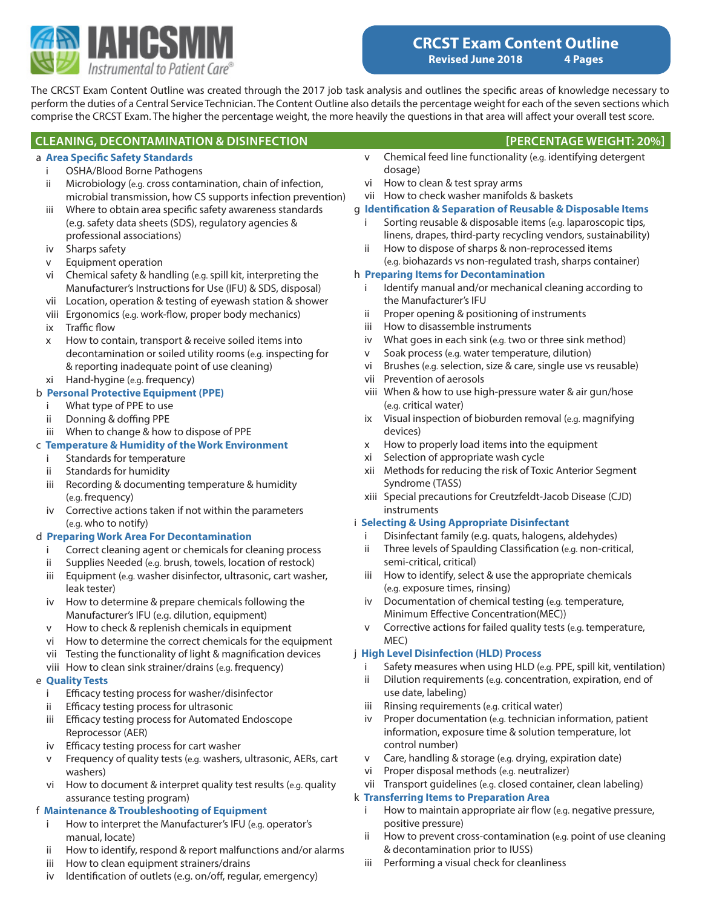

The CRCST Exam Content Outline was created through the 2017 job task analysis and outlines the specific areas of knowledge necessary to perform the duties of a Central Service Technician. The Content Outline also details the percentage weight for each of the seven sections which comprise the CRCST Exam. The higher the percentage weight, the more heavily the questions in that area will affect your overall test score.

### **CLEANING, DECONTAMINATION & DISINFECTION [PERCENTAGE WEIGHT: 20%]**

#### a **Area Specific Safety Standards**

- i OSHA/Blood Borne Pathogens
- ii Microbiology (e.g. cross contamination, chain of infection, microbial transmission, how CS supports infection prevention)
- iii Where to obtain area specific safety awareness standards (e.g. safety data sheets (SDS), regulatory agencies & professional associations)
- iv Sharps safety
- v Equipment operation
- vi Chemical safety & handling (e.g. spill kit, interpreting the Manufacturer's Instructions for Use (IFU) & SDS, disposal)
- vii Location, operation & testing of eyewash station & shower
- viii Ergonomics (e.g. work-flow, proper body mechanics)
- ix Traffic flow
- x How to contain, transport & receive soiled items into decontamination or soiled utility rooms (e.g. inspecting for & reporting inadequate point of use cleaning) xi Hand-hygine (e.g. frequency)

# b **Personal Protective Equipment (PPE)**

- i What type of PPE to use
- ii Donning & doffing PPE
- iii When to change & how to dispose of PPE

#### c **Temperature & Humidity of the Work Environment**

- i Standards for temperature
- ii Standards for humidity
- iii Recording & documenting temperature & humidity (e.g. frequency)
- iv Corrective actions taken if not within the parameters (e.g. who to notify)

#### d **Preparing Work Area For Decontamination**

- i Correct cleaning agent or chemicals for cleaning process
- ii Supplies Needed (e.g. brush, towels, location of restock)
- iii Equipment (e.g. washer disinfector, ultrasonic, cart washer, leak tester)
- iv How to determine & prepare chemicals following the Manufacturer's IFU (e.g. dilution, equipment)
- v How to check & replenish chemicals in equipment
- vi How to determine the correct chemicals for the equipment
- vii Testing the functionality of light & magnification devices
- viii How to clean sink strainer/drains (e.g. frequency)

# e **Quality Tests**

- i Efficacy testing process for washer/disinfector
- ii Efficacy testing process for ultrasonic
- iii Efficacy testing process for Automated Endoscope Reprocessor (AER)
- iv Efficacy testing process for cart washer
- v Frequency of quality tests (e.g. washers, ultrasonic, AERs, cart washers)
- vi How to document & interpret quality test results (e.g. quality assurance testing program)

# f **Maintenance & Troubleshooting of Equipment**

- i How to interpret the Manufacturer's IFU (e.g. operator's manual, locate)
- ii How to identify, respond & report malfunctions and/or alarms
- iii How to clean equipment strainers/drains
- iv Identification of outlets (e.g. on/off, regular, emergency)
- 
- v Chemical feed line functionality (e.g. identifying detergent dosage)
- vi How to clean & test spray arms
- vii How to check washer manifolds & baskets

# g **Identification & Separation of Reusable & Disposable Items**

- i Sorting reusable & disposable items (e.g. laparoscopic tips, linens, drapes, third-party recycling vendors, sustainability)
- ii How to dispose of sharps & non-reprocessed items (e.g. biohazards vs non-regulated trash, sharps container)

# h **Preparing Items for Decontamination**

- i Identify manual and/or mechanical cleaning according to the Manufacturer's IFU
- ii Proper opening & positioning of instruments
- iii How to disassemble instruments
- iv What goes in each sink (e.g. two or three sink method)
- v Soak process (e.g. water temperature, dilution)
- vi Brushes (e.g. selection, size & care, single use vs reusable)
- vii Prevention of aerosols
- viii When & how to use high-pressure water & air gun/hose (e.g. critical water)
- ix Visual inspection of bioburden removal (e.g. magnifying devices)
- x How to properly load items into the equipment
- xi Selection of appropriate wash cycle
- xii Methods for reducing the risk of Toxic Anterior Segment Syndrome (TASS)
- xiii Special precautions for Creutzfeldt-Jacob Disease (CJD) instruments

# i **Selecting & Using Appropriate Disinfectant**

- i Disinfectant family (e.g. quats, halogens, aldehydes)
- ii Three levels of Spaulding Classification (e.g. non-critical, semi-critical, critical)
- iii How to identify, select & use the appropriate chemicals (e.g. exposure times, rinsing)
- iv Documentation of chemical testing (e.g. temperature, Minimum Effective Concentration(MEC))
- v Corrective actions for failed quality tests (e.g. temperature, MEC)

# j **High Level Disinfection (HLD) Process**

- i Safety measures when using HLD (e.g. PPE, spill kit, ventilation)
- ii Dilution requirements (e.g. concentration, expiration, end of use date, labeling)
- iii Rinsing requirements (e.g. critical water)
- iv Proper documentation (e.g. technician information, patient information, exposure time & solution temperature, lot control number)
- v Care, handling & storage (e.g. drying, expiration date)
- vi Proper disposal methods (e.g. neutralizer)
- vii Transport guidelines (e.g. closed container, clean labeling)

# k **Transferring Items to Preparation Area**

- i How to maintain appropriate air flow (e.g. negative pressure, positive pressure)
- ii How to prevent cross-contamination (e.g. point of use cleaning & decontamination prior to IUSS)
- iii Performing a visual check for cleanliness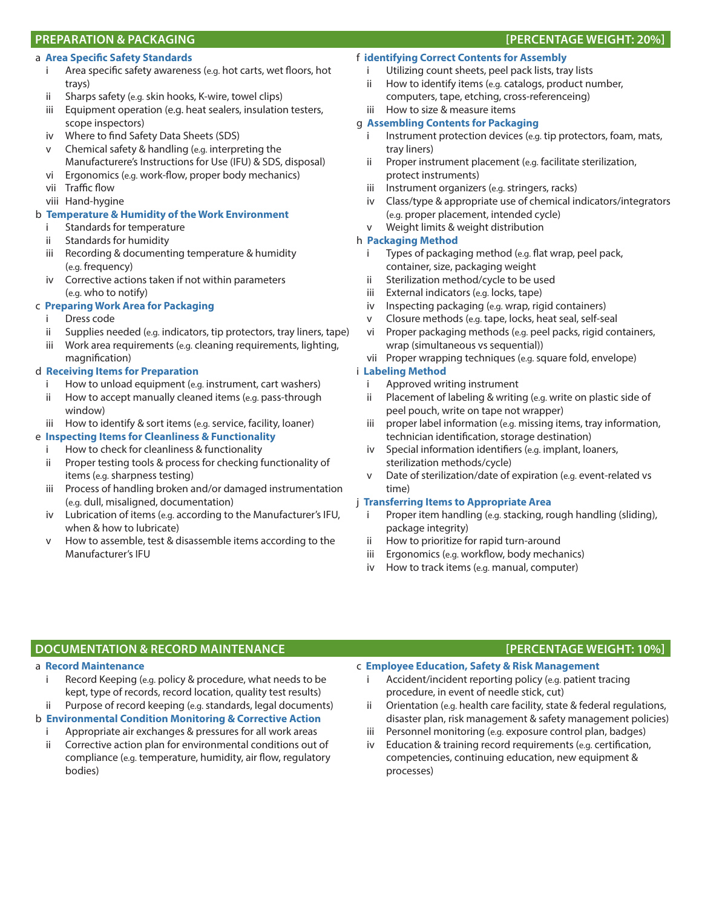### **PREPARATION & PACKAGING [PERCENTAGE WEIGHT: 20%]**

#### a **Area Specific Safety Standards**

- i Area specific safety awareness (e.g. hot carts, wet floors, hot trays)
- ii Sharps safety (e.g. skin hooks, K-wire, towel clips)
- iii Equipment operation (e.g. heat sealers, insulation testers, scope inspectors)
- iv Where to find Safety Data Sheets (SDS)
- v Chemical safety & handling (e.g. interpreting the Manufacturere's Instructions for Use (IFU) & SDS, disposal)
- vi Ergonomics (e.g. work-flow, proper body mechanics)
- vii Traffic flow
- viii Hand-hygine

#### b **Temperature & Humidity of the Work Environment**

- i Standards for temperature
- ii Standards for humidity
- iii Recording & documenting temperature & humidity (e.g. frequency)
- iv Corrective actions taken if not within parameters (e.g. who to notify)

#### c **Preparing Work Area for Packaging**

- i Dress code
- ii Supplies needed (e.g. indicators, tip protectors, tray liners, tape)
- iii Work area requirements (e.g. cleaning requirements, lighting, magnification)

#### d **Receiving Items for Preparation**

- How to unload equipment (e.g. instrument, cart washers)
- ii How to accept manually cleaned items (e.g. pass-through window)
- iii How to identify & sort items (e.g. service, facility, loaner)

## e **Inspecting Items for Cleanliness & Functionality**

- i How to check for cleanliness & functionality
- ii Proper testing tools & process for checking functionality of items (e.g. sharpness testing)
- iii Process of handling broken and/or damaged instrumentation (e.g. dull, misaligned, documentation)
- iv Lubrication of items (e.g. according to the Manufacturer's IFU, when & how to lubricate)
- v How to assemble, test & disassemble items according to the Manufacturer's IFU

# f **identifying Correct Contents for Assembly**

- i Utilizing count sheets, peel pack lists, tray lists
- ii How to identify items (e.g. catalogs, product number, computers, tape, etching, cross-referenceing)
- iii How to size & measure items

#### g **Assembling Contents for Packaging**

- i lnstrument protection devices (e.g. tip protectors, foam, mats, tray liners)
- ii Proper instrument placement (e.g. facilitate sterilization, protect instruments)
- iii Instrument organizers (e.g. stringers, racks)
- iv Class/type & appropriate use of chemical indicators/integrators (e.g. proper placement, intended cycle)
- v Weight limits & weight distribution

#### h **Packaging Method**

- i Types of packaging method (e.g. flat wrap, peel pack, container, size, packaging weight
- ii Sterilization method/cycle to be used
- iii External indicators (e.g. locks, tape)
- iv Inspecting packaging (e.g. wrap, rigid containers)
- v Closure methods (e.g. tape, locks, heat seal, self-seal
- vi Proper packaging methods (e.g. peel packs, rigid containers, wrap (simultaneous vs sequential))
- vii Proper wrapping techniques (e.g. square fold, envelope)

### i **Labeling Method**

- i Approved writing instrument
- ii Placement of labeling & writing (e.g. write on plastic side of peel pouch, write on tape not wrapper)
- iii proper label information (e.g. missing items, tray information, technician identification, storage destination)
- iv Special information identifiers (e.g. implant, loaners, sterilization methods/cycle)
- v Date of sterilization/date of expiration (e.g. event-related vs time)

#### j **Transferring Items to Appropriate Area**

- i Proper item handling (e.g. stacking, rough handling (sliding), package integrity)
- ii How to prioritize for rapid turn-around
- iii Ergonomics (e.g. workflow, body mechanics)
- iv How to track items (e.g. manual, computer)

# **DOCUMENTATION & RECORD MAINTENANCE [PERCENTAGE WEIGHT: 10%]**

#### a **Record Maintenance**

- i Record Keeping (e.g. policy & procedure, what needs to be kept, type of records, record location, quality test results) Purpose of record keeping (e.g. standards, legal documents)
- b **Environmental Condition Monitoring & Corrective Action**

# i Appropriate air exchanges & pressures for all work areas

ii Corrective action plan for environmental conditions out of compliance (e.g. temperature, humidity, air flow, regulatory bodies)

#### c **Employee Education, Safety & Risk Management**

- i Accident/incident reporting policy (e.g. patient tracing procedure, in event of needle stick, cut)
- ii Orientation (e.g. health care facility, state & federal regulations, disaster plan, risk management & safety management policies)
- iii Personnel monitoring (e.g. exposure control plan, badges)
- Education & training record requirements (e.g. certification, competencies, continuing education, new equipment & processes)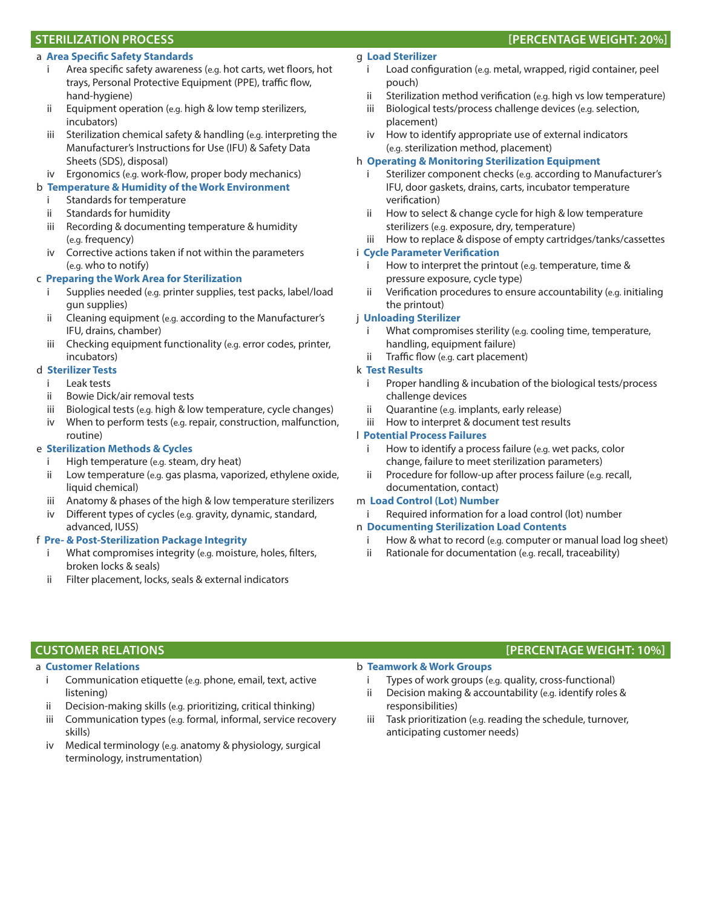#### a **Area Specific Safety Standards**

- Area specific safety awareness (e.g. hot carts, wet floors, hot trays, Personal Protective Equipment (PPE), traffic flow, hand-hygiene)
- ii Equipment operation (e.g. high & low temp sterilizers, incubators)
- iii Sterilization chemical safety & handling (e.g. interpreting the Manufacturer's Instructions for Use (IFU) & Safety Data Sheets (SDS), disposal)
- iv Ergonomics (e.g. work-flow, proper body mechanics)

#### b **Temperature & Humidity of the Work Environment**

- i Standards for temperature
- ii Standards for humidity
- iii Recording & documenting temperature & humidity (e.g. frequency)
- iv Corrective actions taken if not within the parameters (e.g. who to notify)

#### c **Preparing the Work Area for Sterilization**

- i Supplies needed (e.g. printer supplies, test packs, label/load gun supplies)
- ii Cleaning equipment (e.g. according to the Manufacturer's IFU, drains, chamber)
- iii Checking equipment functionality (e.g. error codes, printer, incubators)

#### d **Sterilizer Tests**

- i Leak tests
- ii Bowie Dick/air removal tests
- iii Biological tests (e.g. high & low temperature, cycle changes)
- iv When to perform tests (e.g. repair, construction, malfunction, routine)

#### e **Sterilization Methods & Cycles**

- i High temperature (e.g. steam, dry heat)
- ii Low temperature (e.g. gas plasma, vaporized, ethylene oxide, liquid chemical)
- iii Anatomy & phases of the high & low temperature sterilizers
- iv Different types of cycles (e.g. gravity, dynamic, standard, advanced, IUSS)

#### f **Pre- & Post-Sterilization Package Integrity**

- What compromises integrity (e.g. moisture, holes, filters, broken locks & seals)
- ii Filter placement, locks, seals & external indicators

#### g **Load Sterilizer**

- i Load configuration (e.g. metal, wrapped, rigid container, peel pouch)
- ii Sterilization method verification (e.g. high vs low temperature)
- iii Biological tests/process challenge devices (e.g. selection, placement)
- iv How to identify appropriate use of external indicators (e.g. sterilization method, placement)

#### h **Operating & Monitoring Sterilization Equipment**

- i Sterilizer component checks (e.g. according to Manufacturer's IFU, door gaskets, drains, carts, incubator temperature verification)
- ii How to select & change cycle for high & low temperature sterilizers (e.g. exposure, dry, temperature)
- iii How to replace & dispose of empty cartridges/tanks/cassettes

#### i **Cycle Parameter Verification**

- How to interpret the printout (e.g. temperature, time & pressure exposure, cycle type)
- ii Verification procedures to ensure accountability (e.g. initialing the printout)

### j **Unloading Sterilizer**

- i What compromises sterility (e.g. cooling time, temperature, handling, equipment failure)
- ii Traffic flow (e.g. cart placement)

#### k **Test Results**

- i Proper handling & incubation of the biological tests/process challenge devices
- ii Quarantine (e.g. implants, early release)
- iii How to interpret & document test results

#### l **Potential Process Failures**

- i How to identify a process failure (e.g. wet packs, color change, failure to meet sterilization parameters)
- ii Procedure for follow-up after process failure (e.g. recall, documentation, contact)

#### m **Load Control (Lot) Number**

i Required information for a load control (lot) number

#### n **Documenting Sterilization Load Contents**

- i How & what to record (e.g. computer or manual load log sheet)
- ii Rationale for documentation (e.g. recall, traceability)

# **CUSTOMER RELATIONS [PERCENTAGE WEIGHT: 10%]**

#### a **Customer Relations**

- i Communication etiquette (e.g. phone, email, text, active listening)
- ii Decision-making skills (e.g. prioritizing, critical thinking)
- iii Communication types (e.g. formal, informal, service recovery skills)
- iv Medical terminology (e.g. anatomy & physiology, surgical terminology, instrumentation)

# b **Teamwork & Work Groups**

- i Types of work groups (e.g. quality, cross-functional)
- ii Decision making & accountability (e.g. identify roles & responsibilities)
- iii Task prioritization (e.g. reading the schedule, turnover, anticipating customer needs)